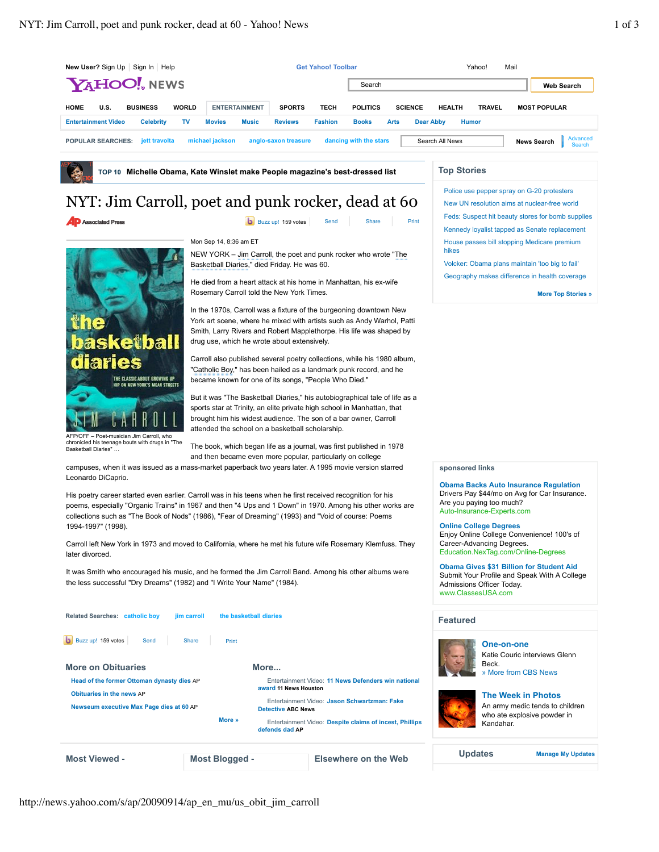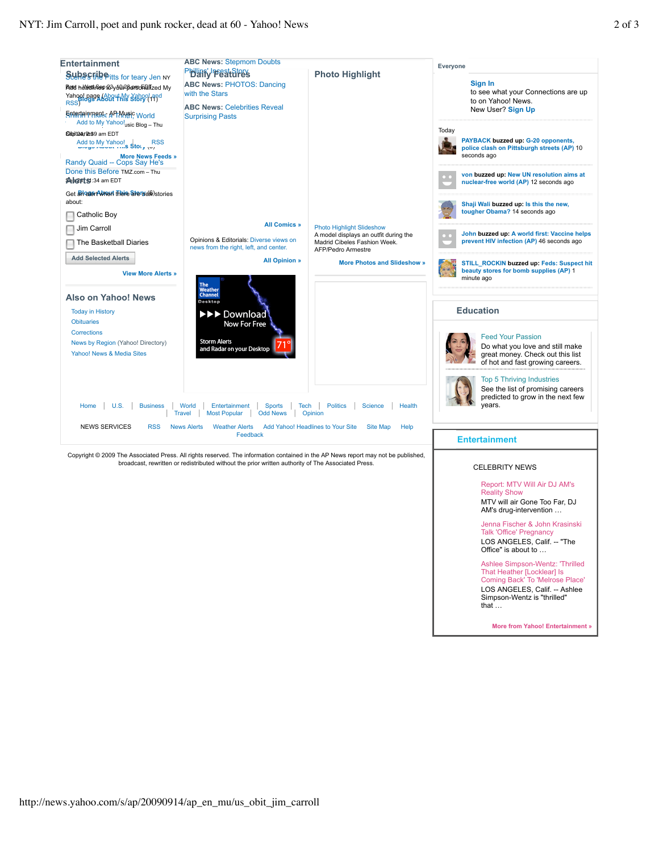